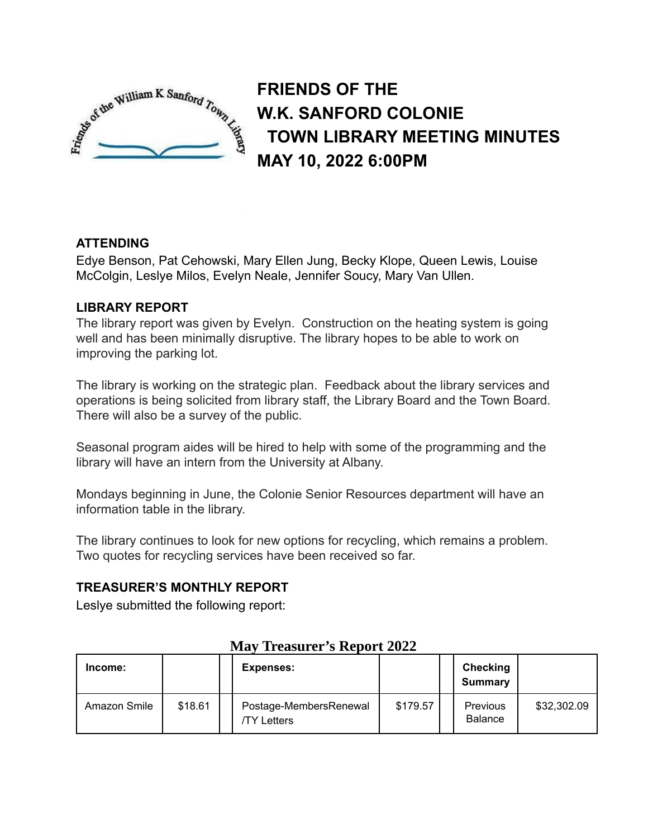

**FRIENDS OF THE W.K. SANFORD COLONIE TOWN LIBRARY MEETING MINUTES MAY 10, 2022 6:00PM**

## **ATTENDING**

Edye Benson, Pat Cehowski, Mary Ellen Jung, Becky Klope, Queen Lewis, Louise McColgin, Leslye Milos, Evelyn Neale, Jennifer Soucy, Mary Van Ullen.

## **LIBRARY REPORT**

The library report was given by Evelyn. Construction on the heating system is going well and has been minimally disruptive. The library hopes to be able to work on improving the parking lot.

The library is working on the strategic plan. Feedback about the library services and operations is being solicited from library staff, the Library Board and the Town Board. There will also be a survey of the public.

Seasonal program aides will be hired to help with some of the programming and the library will have an intern from the University at Albany.

Mondays beginning in June, the Colonie Senior Resources department will have an information table in the library.

The library continues to look for new options for recycling, which remains a problem. Two quotes for recycling services have been received so far.

### **TREASURER'S MONTHLY REPORT**

Leslye submitted the following report:

| Income:      |         | <b>Expenses:</b>                      |          | <b>Checking</b><br>Summary |             |
|--------------|---------|---------------------------------------|----------|----------------------------|-------------|
| Amazon Smile | \$18.61 | Postage-MembersRenewal<br>/TY Letters | \$179.57 | Previous<br><b>Balance</b> | \$32,302.09 |

### **May Treasurer's Report 2022**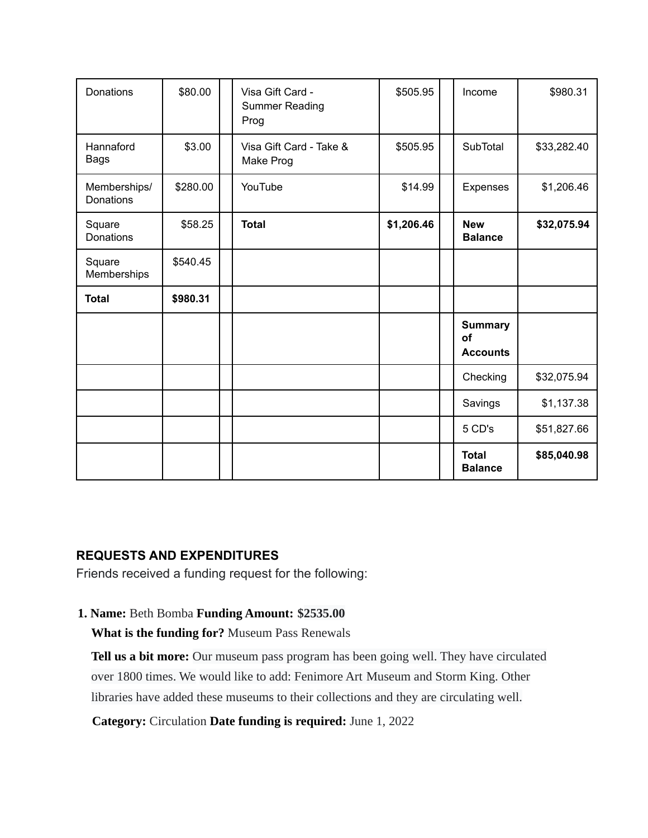| Donations                 | \$80.00  | Visa Gift Card -<br><b>Summer Reading</b><br>Prog | \$505.95   | Income                                  | \$980.31    |
|---------------------------|----------|---------------------------------------------------|------------|-----------------------------------------|-------------|
| Hannaford<br><b>Bags</b>  | \$3.00   | Visa Gift Card - Take &<br>Make Prog              | \$505.95   | SubTotal                                | \$33,282.40 |
| Memberships/<br>Donations | \$280.00 | YouTube                                           | \$14.99    | Expenses                                | \$1,206.46  |
| Square<br>Donations       | \$58.25  | <b>Total</b>                                      | \$1,206.46 | <b>New</b><br><b>Balance</b>            | \$32,075.94 |
| Square<br>Memberships     | \$540.45 |                                                   |            |                                         |             |
| <b>Total</b>              | \$980.31 |                                                   |            |                                         |             |
|                           |          |                                                   |            | <b>Summary</b><br>of<br><b>Accounts</b> |             |
|                           |          |                                                   |            | Checking                                | \$32,075.94 |
|                           |          |                                                   |            | Savings                                 | \$1,137.38  |
|                           |          |                                                   |            | 5 CD's                                  | \$51,827.66 |
|                           |          |                                                   |            | <b>Total</b><br><b>Balance</b>          | \$85,040.98 |

### **REQUESTS AND EXPENDITURES**

Friends received a funding request for the following:

### **1. Name:** Beth Bomba **Funding Amount: \$2535.00**

**What is the funding for?** Museum Pass Renewals

**Tell us a bit more:** Our museum pass program has been going well. They have circulated over 1800 times. We would like to add: Fenimore Art Museum and Storm King. Other libraries have added these museums to their collections and they are circulating well.

**Category:** Circulation **Date funding is required:** June 1, 2022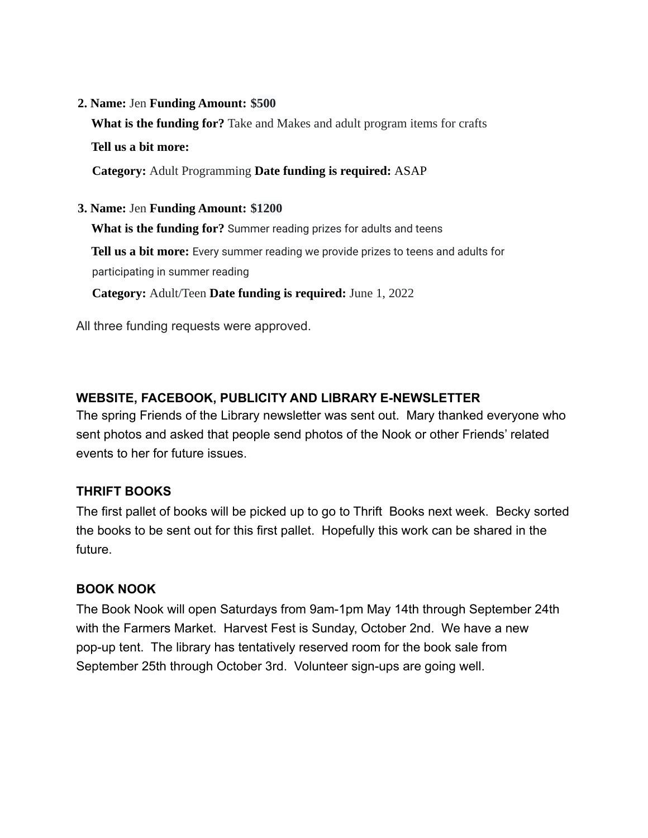#### **2. Name:** Jen **Funding Amount: \$500**

**What is the funding for?** Take and Makes and adult program items for crafts **Tell us a bit more:**

**Category:** Adult Programming **Date funding is required:** ASAP

**3. Name:** Jen **Funding Amount: \$1200**

**What is the funding for?** Summer reading prizes for adults and teens

**Tell us a bit more:** Every summer reading we provide prizes to teens and adults for participating in summer reading

**Category:** Adult/Teen **Date funding is required:** June 1, 2022

All three funding requests were approved.

# **WEBSITE, FACEBOOK, PUBLICITY AND LIBRARY E-NEWSLETTER**

The spring Friends of the Library newsletter was sent out. Mary thanked everyone who sent photos and asked that people send photos of the Nook or other Friends' related events to her for future issues.

## **THRIFT BOOKS**

The first pallet of books will be picked up to go to Thrift Books next week. Becky sorted the books to be sent out for this first pallet. Hopefully this work can be shared in the future.

## **BOOK NOOK**

The Book Nook will open Saturdays from 9am-1pm May 14th through September 24th with the Farmers Market. Harvest Fest is Sunday, October 2nd. We have a new pop-up tent. The library has tentatively reserved room for the book sale from September 25th through October 3rd. Volunteer sign-ups are going well.